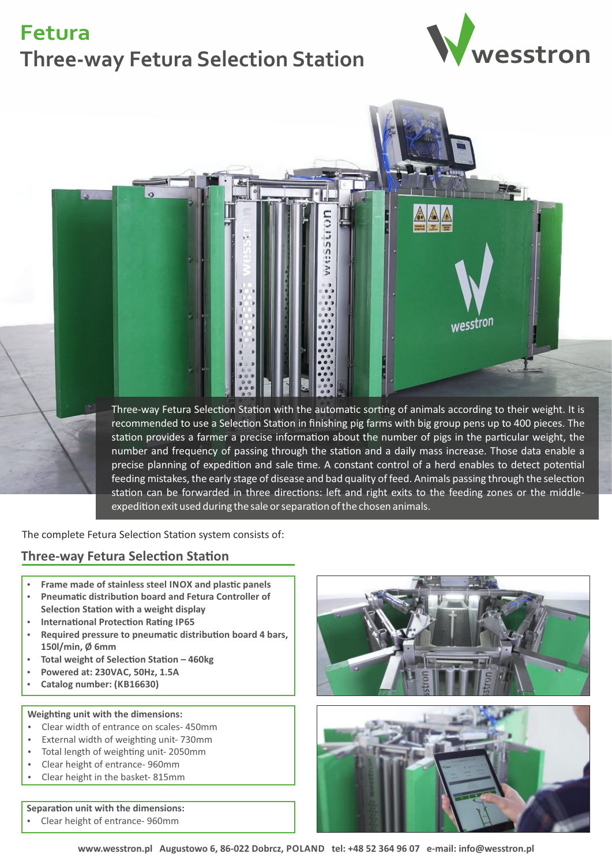### **Fetura**

# **Three-way Fetura Selection Station wesstron**





Three-way Fetura Selection Station with the automatic sorting of animals according to their weight. It is recommended to use a Selection Station in finishing pig farms with big group pens up to 400 pieces. The station provides a farmer a precise information about the number of pigs in the particular weight, the number and frequency of passing through the station and a daily mass increase. Those data enable a precise planning of expedition and sale time. A constant control of a herd enables to detect potential feeding mistakes, the early stage of disease and bad quality of feed. Animals passing through the selection station can be forwarded in three directions: left and right exits to the feeding zones or the middleexpedition exit used during the sale or separation of the chosen animals.

The complete Fetura Selection Station system consists of:

#### **Three-way Fetura Selection Station**

- **Frame made of stainless steel INOX and plastic panels**
- **Pneumatic distribution board and Fetura Controller of Selection Station with a weight display**
- **International Protection Rating IP65**
- Required pressure to pneumatic distribution board 4 bars, **150l/min, Ø 6mm**
- **Total weight of Selection Station 460kg**
- **Powered at: 230VAC, 50Hz, 1.5A**
- **Catalog number: (KB16630)**

**Weighting unit with the dimensions:** 

- Clear width of entrance on scales- 450mm
- External width of weighting unit-730mm
- Total length of weighting unit-2050mm
- Clear height of entrance- 960mm
- Clear height in the basket- 815mm

#### **Separation unit with the dimensions:**

Clear height of entrance- 960mm



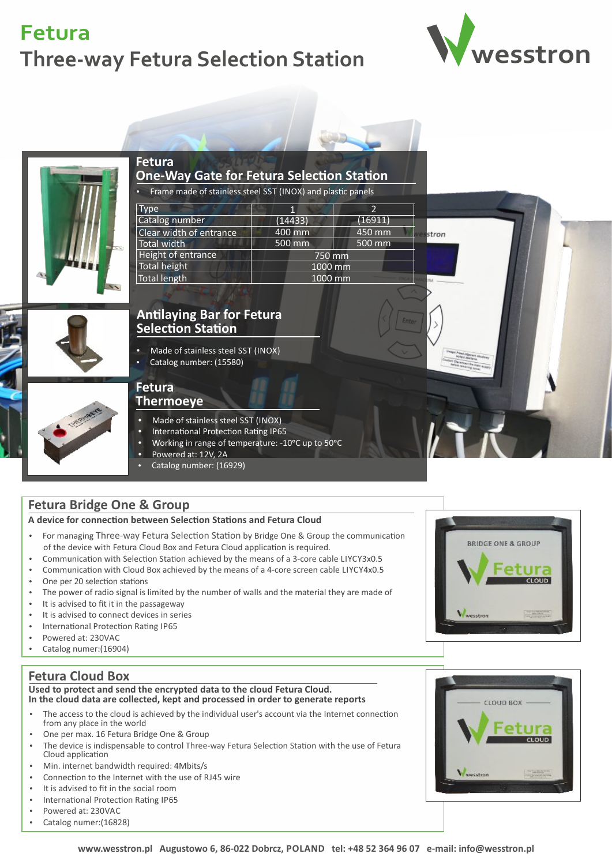### **Fetura Three-way Fetura Selection Station**

**Fetura** 





#### **One-Way Gate for Fetura Selection Station**

Frame made of stainless steel SST (INOX) and plastic panels **Type** 2 Catalog number  $(14433)$ 400 mm<br>500 mm 500 mm Clear width of entrance stron  $\overline{500}$  mm Total width Height of entrance 750 mm Total height 1000 mm Total length 1000 mm

#### **Antilaying Bar for Fetura Selection Station**

 Made of stainless steel SST (INOX) Catalog number: (15580)

### **Fetura**

- **Thermoeye**
- Made of stainless steel SST (INOX)
- International Protection Rating IP65
- Working in range of temperature: 10°C up to 50°C
- Powered at: 12V, 2A
- Catalog number: (16929)

#### **Fetura Bridge One & Group**

#### A device for connection between Selection Stations and Fetura Cloud

- For managing Three-way Fetura Selection Station by Bridge One & Group the communication of the device with Fetura Cloud Box and Fetura Cloud application is required.
- Communication with Selection Station achieved by the means of a 3-core cable LIYCY3x0.5
- Communication with Cloud Box achieved by the means of a 4-core screen cable LIYCY4x0.5
- One per 20 selection stations
- The power of radio signal is limited by the number of walls and the material they are made of
- It is advised to fit it in the passageway
- It is advised to connect devices in series
- International Protection Rating IP65
- Powered at: 230VAC
- Catalog numer:(16904)

### **Fetura Cloud Box**

#### **Used to protect and send the encrypted data to the cloud Fetura Cloud. In the cloud data are collected, kept and processed in order to generate reports**

- The access to the cloud is achieved by the individual user's account via the Internet connection from any place in the world
- One per max. 16 Fetura Bridge One & Group
- The device is indispensable to control Three-way Fetura Selection Station with the use of Fetura Cloud application
- Min. internet bandwidth required: 4Mbits/s
- Connection to the Internet with the use of RJ45 wire
- It is advised to fit in the social room
- International Protection Rating IP65
- Powered at: 230VAC
- Catalog numer:(16828)



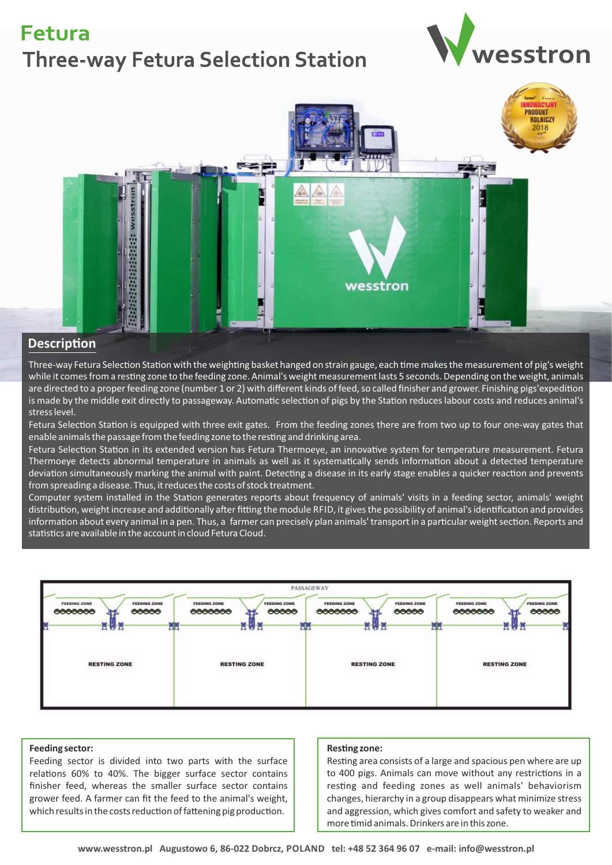### **Fetura**

## **Three-way Fetura Selection Station**





#### **Description**

Three-way Fetura Selection Station with the weighting basket hanged on strain gauge, each time makes the measurement of pig's weight while it comes from a resting zone to the feeding zone. Animal's weight measurement lasts 5 seconds. Depending on the weight, animals are directed to a proper feeding zone (number 1 or 2) with different kinds of feed, so called finisher and grower. Finishing pigs'expedition is made by the middle exit directly to passageway. Automatic selection of pigs by the Station reduces labour costs and reduces animal's stress level.

Fetura Selection Station is equipped with three exit gates. From the feeding zones there are from two up to four one-way gates that enable animals the passage from the feeding zone to the resting and drinking area.

Fetura Selection Station in its extended version has Fetura Thermoeye, an innovative system for temperature measurement. Fetura Thermoeye detects abnormal temperature in animals as well as it systematically sends information about a detected temperature deviation simultaneously marking the animal with paint. Detecting a disease in its early stage enables a quicker reaction and prevents from spreading a disease. Thus, it reduces the costs of stock treatment.

Computer system installed in the Station generates reports about frequency of animals' visits in a feeding sector, animals' weight distribution, weight increase and additionally after fitting the module RFID, it gives the possibility of animal's identification and provides information about every animal in a pen. Thus, a farmer can precisely plan animals' transport in a particular weight section. Reports and statistics are available in the account in cloud Fetura Cloud.



#### **Feeding sector:**

Feeding sector is divided into two parts with the surface relations 60% to 40%. The bigger surface sector contains finisher feed, whereas the smaller surface sector contains grower feed. A farmer can fit the feed to the animal's weight, which results in the costs reduction of fattening pig production.

#### **Resting zone:**

Resting area consists of a large and spacious pen where are up to 400 pigs. Animals can move without any restrictions in a resting and feeding zones as well animals' behaviorism changes, hierarchy in a group disappears what minimize stress and aggression, which gives comfort and safety to weaker and more timid animals. Drinkers are in this zone.